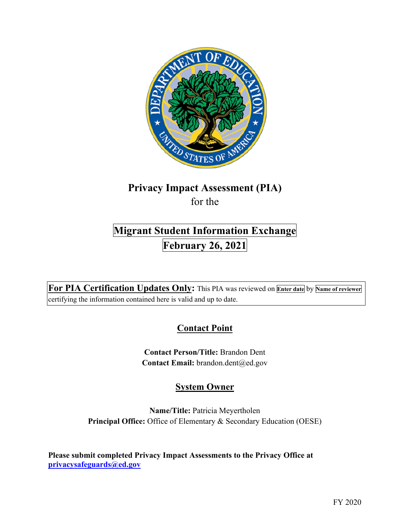

## **Privacy Impact Assessment (PIA)**  for the

# **Migrant Student Information Exchange February 26, 2021**

 **For PIA Certification Updates Only:** This PIA was reviewed on **Enter date** by **Name of reviewer**  certifying the information contained here is valid and up to date.

## **Contact Point**

**Contact Person/Title:** Brandon Dent Contact Email: brandon.dent@ed.gov

## **System Owner**

**Name/Title:** Patricia Meyertholen **Principal Office:** Office of Elementary & Secondary Education (OESE)

 **[privacysafeguards@ed.gov](mailto:privacysafeguards@ed.gov) Please submit completed Privacy Impact Assessments to the Privacy Office at**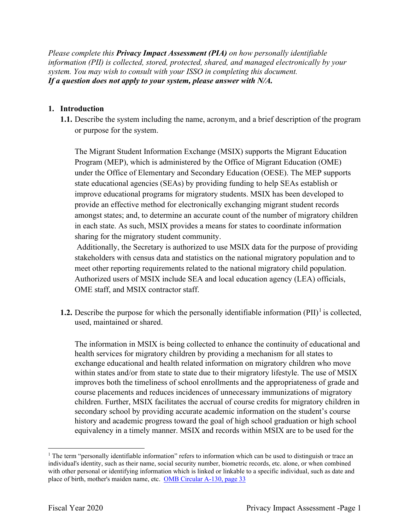*Please complete this Privacy Impact Assessment (PIA) on how personally identifiable information (PII) is collected, stored, protected, shared, and managed electronically by your system. You may wish to consult with your ISSO in completing this document. If a question does not apply to your system, please answer with N/A.* 

### **1. Introduction**

 **1.1.** Describe the system including the name, acronym, and a brief description of the program or purpose for the system.

The Migrant Student Information Exchange (MSIX) supports the Migrant Education Program (MEP), which is administered by the Office of Migrant Education (OME) under the Office of Elementary and Secondary Education (OESE). The MEP supports state educational agencies (SEAs) by providing funding to help SEAs establish or improve educational programs for migratory students. MSIX has been developed to provide an effective method for electronically exchanging migrant student records amongst states; and, to determine an accurate count of the number of migratory children in each state. As such, MSIX provides a means for states to coordinate information sharing for the migratory student community.

Additionally, the Secretary is authorized to use MSIX data for the purpose of providing stakeholders with census data and statistics on the national migratory population and to meet other reporting requirements related to the national migratory child population. Authorized users of MSIX include SEA and local education agency (LEA) officials, OME staff, and MSIX contractor staff.

**1.2.** Describe the purpose for which the personally identifiable information  $(PII)^{1}$  is collected, used, maintained or shared.

 health services for migratory children by providing a mechanism for all states to The information in MSIX is being collected to enhance the continuity of educational and exchange educational and health related information on migratory children who move within states and/or from state to state due to their migratory lifestyle. The use of MSIX improves both the timeliness of school enrollments and the appropriateness of grade and course placements and reduces incidences of unnecessary immunizations of migratory children. Further, MSIX facilitates the accrual of course credits for migratory children in secondary school by providing accurate academic information on the student's course history and academic progress toward the goal of high school graduation or high school equivalency in a timely manner. MSIX and records within MSIX are to be used for the

<sup>&</sup>lt;sup>1</sup> The term "personally identifiable information" refers to information which can be used to distinguish or trace an individual's identity, such as their name, social security number, biometric records, etc. alone, or when combined with other personal or identifying information which is linked or linkable to a specific individual, such as date and place of birth, mother's maiden name, etc. OMB Circular A-130, page 33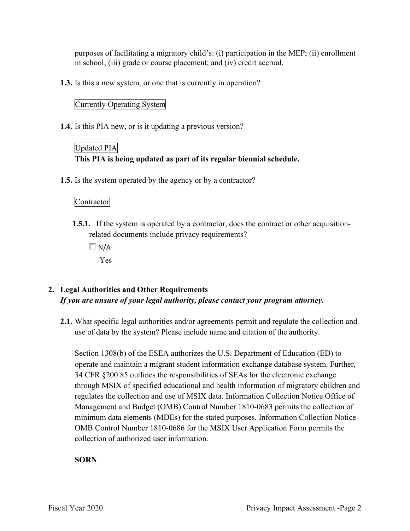purposes of facilitating a migratory child's: (i) participation in the MEP; (ii) enrollment in school; (iii) grade or course placement; and (iv) credit accrual.

**1.3.** Is this a new system, or one that is currently in operation?

### Currently Operating System

**1.4.** Is this PIA new, or is it updating a previous version?

## Updated PIA **This PIA is being updated as part of its regular biennial schedule.**

**1.5.** Is the system operated by the agency or by a contractor?

### Contractor

- **1.5.1.** If the system is operated by a contractor, does the contract or other acquisitionrelated documents include privacy requirements?
	- $\Box$  N/A

Yes

### **2. Legal Authorities and Other Requirements**  *If you are unsure of your legal authority, please contact your program attorney.*

**2.1.** What specific legal authorities and/or agreements permit and regulate the collection and use of data by the system? Please include name and citation of the authority.

 34 CFR §200.85 outlines the responsibilities of SEAs for the electronic exchange Management and Budget (OMB) Control Number 1810-0683 permits the collection of Section 1308(b) of the ESEA authorizes the U.S. Department of Education (ED) to operate and maintain a migrant student information exchange database system. Further, through MSIX of specified educational and health information of migratory children and regulates the collection and use of MSIX data. Information Collection Notice Office of minimum data elements (MDEs) for the stated purposes. Information Collection Notice OMB Control Number 1810-0686 for the MSIX User Application Form permits the collection of authorized user information.

### **SORN**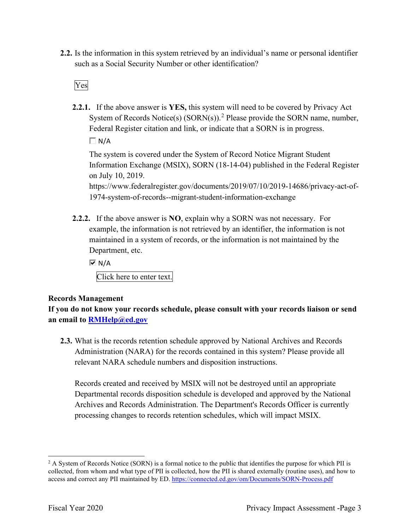such as a Social Security Number or other identification?<br>Ves **2.2.** Is the information in this system retrieved by an individual's name or personal identifier

**2.2.1.** If the above answer is **YES,** this system will need to be covered by Privacy Act System of Records Notice(s)  $(SORN(s))$ .<sup>2</sup> Please provide the SORN name, number, Federal Register citation and link, or indicate that a SORN is in progress.

 $\Box N/A$ 

The system is covered under the System of Record Notice Migrant Student Information Exchange (MSIX), SORN (18-14-04) published in the Federal Register on July 10, 2019.

 1974-system-of-records--migrant-student-information-exchange [https://www.federalregister.gov/documents/2019/07/10/2019-14686/privacy-act-of-](https://www.federalregister.gov/documents/2019/07/10/2019-14686/privacy-act-of)

 **2.2.2.** If the above answer is **NO**, explain why a SORN was not necessary. For Department, etc. example, the information is not retrieved by an identifier, the information is not maintained in a system of records, or the information is not maintained by the

 $\overline{M}$  N/A

Click here to enter text.

### **Records Management**

**If you do not know your records schedule, please consult with your records liaison or send an email to [RMHelp@ed.gov](mailto:RMHelp@ed.gov)** 

 **2.3.** What is the records retention schedule approved by National Archives and Records Administration (NARA) for the records contained in this system? Please provide all relevant NARA schedule numbers and disposition instructions.

Records created and received by MSIX will not be destroyed until an appropriate Departmental records disposition schedule is developed and approved by the National Archives and Records Administration. The Department's Records Officer is currently processing changes to records retention schedules, which will impact MSIX.

access and correct any PII maintained by ED. https://connected.ed.gov/om/Documents/SORN-Process.pdf<br>Fiscal Year 2020 Privacy Impact Assessment -Page 3 <sup>2</sup> A System of Records Notice (SORN) is a formal notice to the public that identifies the purpose for which PII is collected, from whom and what type of PII is collected, how the PII is shared externally (routine uses), and how to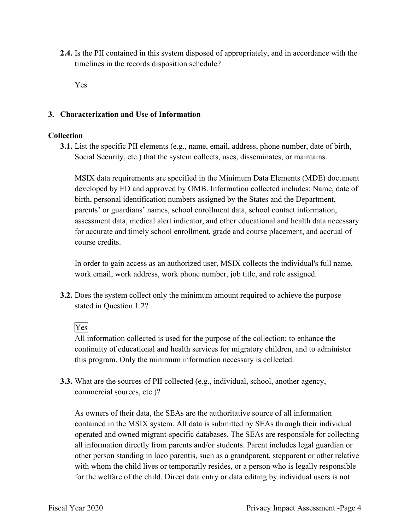**2.4.** Is the PII contained in this system disposed of appropriately, and in accordance with the timelines in the records disposition schedule?

Yes

### **3. Characterization and Use of Information**

### **Collection**

**3.1.** List the specific PII elements (e.g., name, email, address, phone number, date of birth, Social Security, etc.) that the system collects, uses, disseminates, or maintains.

MSIX data requirements are specified in the Minimum Data Elements (MDE) document developed by ED and approved by OMB. Information collected includes: Name, date of birth, personal identification numbers assigned by the States and the Department, parents' or guardians' names, school enrollment data, school contact information, assessment data, medical alert indicator, and other educational and health data necessary for accurate and timely school enrollment, grade and course placement, and accrual of course credits.

 work email, work address, work phone number, job title, and role assigned. In order to gain access as an authorized user, MSIX collects the individual's full name,

stated in Question 1.2?<br>Yes **3.2.** Does the system collect only the minimum amount required to achieve the purpose

All information collected is used for the purpose of the collection; to enhance the continuity of educational and health services for migratory children, and to administer this program. Only the minimum information necessary is collected.

**3.3.** What are the sources of PII collected (e.g., individual, school, another agency, commercial sources, etc.)?

 As owners of their data, the SEAs are the authoritative source of all information all information directly from parents and/or students. Parent includes legal guardian or for the welfare of the child. Direct data entry or data editing by individual users is not contained in the MSIX system. All data is submitted by SEAs through their individual operated and owned migrant-specific databases. The SEAs are responsible for collecting other person standing in loco parentis, such as a grandparent, stepparent or other relative with whom the child lives or temporarily resides, or a person who is legally responsible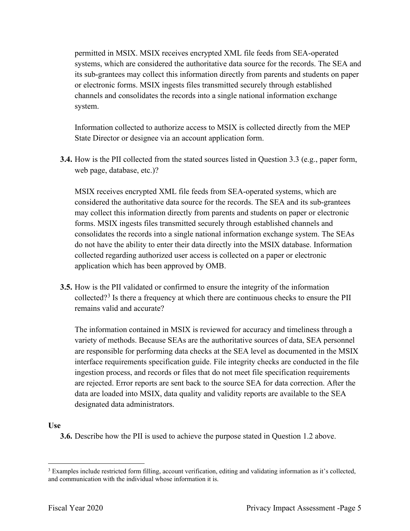permitted in MSIX. MSIX receives encrypted XML file feeds from SEA-operated systems, which are considered the authoritative data source for the records. The SEA and its sub-grantees may collect this information directly from parents and students on paper or electronic forms. MSIX ingests files transmitted securely through established channels and consolidates the records into a single national information exchange system.

Information collected to authorize access to MSIX is collected directly from the MEP State Director or designee via an account application form.

 **3.4.** How is the PII collected from the stated sources listed in Question 3.3 (e.g., paper form, web page, database, etc.)?

 may collect this information directly from parents and students on paper or electronic MSIX receives encrypted XML file feeds from SEA-operated systems, which are considered the authoritative data source for the records. The SEA and its sub-grantees forms. MSIX ingests files transmitted securely through established channels and consolidates the records into a single national information exchange system. The SEAs do not have the ability to enter their data directly into the MSIX database. Information collected regarding authorized user access is collected on a paper or electronic application which has been approved by OMB.

collected?<sup>3</sup> Is there a frequency at which there are continuous checks to ensure the PII **3.5.** How is the PII validated or confirmed to ensure the integrity of the information remains valid and accurate?

 are responsible for performing data checks at the SEA level as documented in the MSIX The information contained in MSIX is reviewed for accuracy and timeliness through a variety of methods. Because SEAs are the authoritative sources of data, SEA personnel interface requirements specification guide. File integrity checks are conducted in the file ingestion process, and records or files that do not meet file specification requirements are rejected. Error reports are sent back to the source SEA for data correction. After the data are loaded into MSIX, data quality and validity reports are available to the SEA designated data administrators.

### **Use**

**3.6.** Describe how the PII is used to achieve the purpose stated in Question 1.2 above.

and communication with the individual whose information it is. <sup>3</sup> Examples include restricted form filling, account verification, editing and validating information as it's collected, and communication with the individual whose information it is.<br>Fiscal Year 2020 Privacy Impact Assessment -Page 5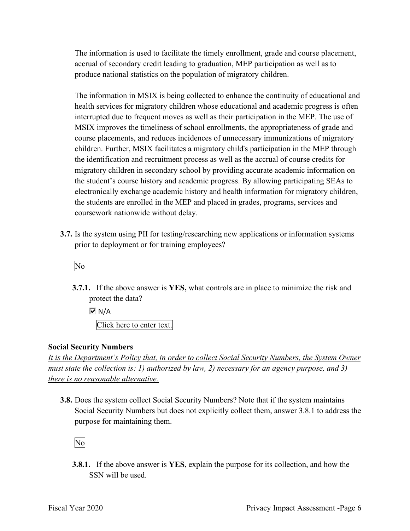accrual of secondary credit leading to graduation, MEP participation as well as to The information is used to facilitate the timely enrollment, grade and course placement, produce national statistics on the population of migratory children.

 The information in MSIX is being collected to enhance the continuity of educational and health services for migratory children whose educational and academic progress is often interrupted due to frequent moves as well as their participation in the MEP. The use of MSIX improves the timeliness of school enrollments, the appropriateness of grade and course placements, and reduces incidences of unnecessary immunizations of migratory children. Further, MSIX facilitates a migratory child's participation in the MEP through the identification and recruitment process as well as the accrual of course credits for migratory children in secondary school by providing accurate academic information on the student's course history and academic progress. By allowing participating SEAs to electronically exchange academic history and health information for migratory children, the students are enrolled in the MEP and placed in grades, programs, services and coursework nationwide without delay.

 **3.7.** Is the system using PII for testing/researching new applications or information systems prior to deployment or for training employees?<br>No

**3.7.1.** If the above answer is **YES,** what controls are in place to minimize the risk and protect the data?

 $\overline{M}$  N/A

Click here to enter text.

### **Social Security Numbers**

*It is the Department's Policy that, in order to collect Social Security Numbers, the System Owner must state the collection is: 1) authorized by law, 2) necessary for an agency purpose, and 3) there is no reasonable alternative.* 

 **3.8.** Does the system collect Social Security Numbers? Note that if the system maintains Social Security Numbers but does not explicitly collect them, answer 3.8.1 to address the purpose for maintaining them.

No

**3.8.1.** If the above answer is **YES**, explain the purpose for its collection, and how the SSN will be used.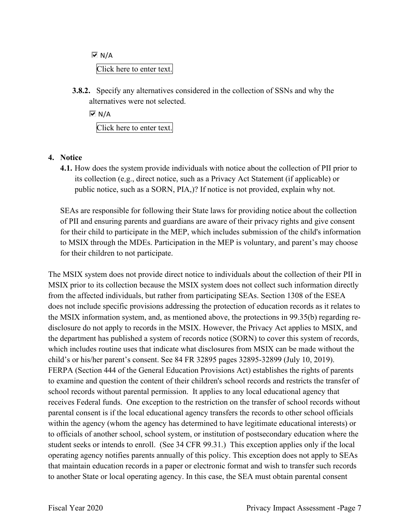Click here to enter text.  $\overline{M}$  N/A

 **3.8.2.** Specify any alternatives considered in the collection of SSNs and why the alternatives were not selected.

 $\overline{M}$  N/A Click here to enter text.

### **4. Notice**

 its collection (e.g., direct notice, such as a Privacy Act Statement (if applicable) or public notice, such as a SORN, PIA,)? If notice is not provided, explain why not. **4.1.** How does the system provide individuals with notice about the collection of PII prior to

 to MSIX through the MDEs. Participation in the MEP is voluntary, and parent's may choose SEAs are responsible for following their State laws for providing notice about the collection of PII and ensuring parents and guardians are aware of their privacy rights and give consent for their child to participate in the MEP, which includes submission of the child's information for their children to not participate.

 receives Federal funds. One exception to the restriction on the transfer of school records without The MSIX system does not provide direct notice to individuals about the collection of their PII in MSIX prior to its collection because the MSIX system does not collect such information directly from the affected individuals, but rather from participating SEAs. Section 1308 of the ESEA does not include specific provisions addressing the protection of education records as it relates to the MSIX information system, and, as mentioned above, the protections in 99.35(b) regarding redisclosure do not apply to records in the MSIX. However, the Privacy Act applies to MSIX, and the department has published a system of records notice (SORN) to cover this system of records, which includes routine uses that indicate what disclosures from MSIX can be made without the child's or his/her parent's consent. See 84 FR 32895 pages 32895-32899 (July 10, 2019). FERPA (Section 444 of the General Education Provisions Act) establishes the rights of parents to examine and question the content of their children's school records and restricts the transfer of school records without parental permission. It applies to any local educational agency that parental consent is if the local educational agency transfers the records to other school officials within the agency (whom the agency has determined to have legitimate educational interests) or to officials of another school, school system, or institution of postsecondary education where the student seeks or intends to enroll. (See 34 CFR 99.31.) This exception applies only if the local operating agency notifies parents annually of this policy. This exception does not apply to SEAs that maintain education records in a paper or electronic format and wish to transfer such records to another State or local operating agency. In this case, the SEA must obtain parental consent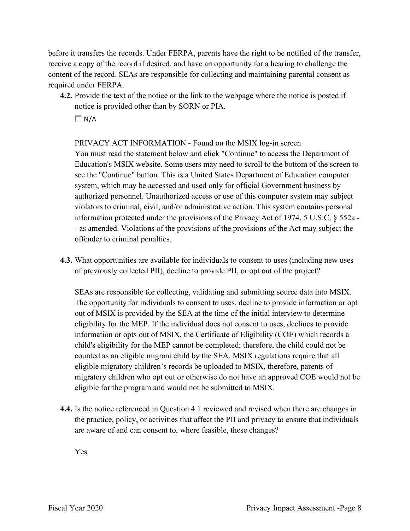before it transfers the records. Under FERPA, parents have the right to be notified of the transfer, required under FERPA. receive a copy of the record if desired, and have an opportunity for a hearing to challenge the content of the record. SEAs are responsible for collecting and maintaining parental consent as

 **4.2.** Provide the text of the notice or the link to the webpage where the notice is posted if notice is provided other than by SORN or PIA.

 $\Box$  N/A

PRIVACY ACT INFORMATION - Found on the MSIX log-in screen You must read the statement below and click "Continue" to access the Department of Education's MSIX website. Some users may need to scroll to the bottom of the screen to see the "Continue" button. This is a United States Department of Education computer system, which may be accessed and used only for official Government business by authorized personnel. Unauthorized access or use of this computer system may subject violators to criminal, civil, and/or administrative action. This system contains personal information protected under the provisions of the Privacy Act of 1974, 5 U.S.C. § 552a - - as amended. Violations of the provisions of the provisions of the Act may subject the offender to criminal penalties.

**4.3.** What opportunities are available for individuals to consent to uses (including new uses of previously collected PII), decline to provide PII, or opt out of the project?

 eligibility for the MEP. If the individual does not consent to uses, declines to provide information or opts out of MSIX, the Certificate of Eligibility (COE) which records a child's eligibility for the MEP cannot be completed; therefore, the child could not be SEAs are responsible for collecting, validating and submitting source data into MSIX. The opportunity for individuals to consent to uses, decline to provide information or opt out of MSIX is provided by the SEA at the time of the initial interview to determine counted as an eligible migrant child by the SEA. MSIX regulations require that all eligible migratory children's records be uploaded to MSIX, therefore, parents of migratory children who opt out or otherwise do not have an approved COE would not be eligible for the program and would not be submitted to MSIX.

 are aware of and can consent to, where feasible, these changes? **4.4.** Is the notice referenced in Question 4.1 reviewed and revised when there are changes in the practice, policy, or activities that affect the PII and privacy to ensure that individuals

Yes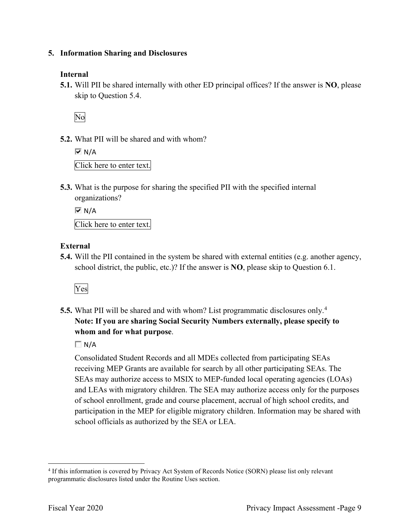### **5. Information Sharing and Disclosures**

### **Internal**

 **5.1.** Will PII be shared internally with other ED principal offices? If the answer is **NO**, please skip to Question 5.4.

No

**5.2.** What PII will be shared and with whom?

```
 
Click here to enter text. 
\overline{M} N/A
```
 organizations? **5.3.** What is the purpose for sharing the specified PII with the specified internal

 Click here to enter text.  $\overline{M}$  N/A

### **External**

**5.4.** Will the PII contained in the system be shared with external entities (e.g. another agency, school district, the public, etc.)? If the answer is **NO**, please skip to Question 6.1.

## Yes

 **5.5.** What PII will be shared and with whom? List programmatic disclosures only.<sup>4</sup> **Note: If you are sharing Social Security Numbers externally, please specify to whom and for what purpose**.

 $\Box N/A$ 

school officials as authorized by the SEA or LEA. Consolidated Student Records and all MDEs collected from participating SEAs receiving MEP Grants are available for search by all other participating SEAs. The SEAs may authorize access to MSIX to MEP-funded local operating agencies (LOAs) and LEAs with migratory children. The SEA may authorize access only for the purposes of school enrollment, grade and course placement, accrual of high school credits, and participation in the MEP for eligible migratory children. Information may be shared with

<sup>&</sup>lt;sup>4</sup> If this information is covered by Privacy Act System of Records Notice (SORN) please list only relevant programmatic disclosures listed under the Routine Uses section.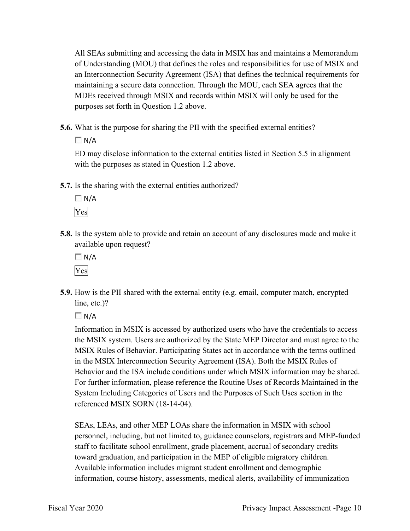maintaining a secure data connection. Through the MOU, each SEA agrees that the All SEAs submitting and accessing the data in MSIX has and maintains a Memorandum of Understanding (MOU) that defines the roles and responsibilities for use of MSIX and an Interconnection Security Agreement (ISA) that defines the technical requirements for MDEs received through MSIX and records within MSIX will only be used for the purposes set forth in Question 1.2 above.

**5.6.** What is the purpose for sharing the PII with the specified external entities?

 $\Box$  N/A

ED may disclose information to the external entities listed in Section 5.5 in alignment with the purposes as stated in Question 1.2 above.

**5.7.** Is the sharing with the external entities authorized?



**5.8.** Is the system able to provide and retain an account of any disclosures made and make it available upon request?

 $\Box$  N/A Yes

 **5.9.** How is the PII shared with the external entity (e.g. email, computer match, encrypted line, etc.)?

 $\Box N/A$ 

 Behavior and the ISA include conditions under which MSIX information may be shared. referenced MSIX SORN (18-14-04). Information in MSIX is accessed by authorized users who have the credentials to access the MSIX system. Users are authorized by the State MEP Director and must agree to the MSIX Rules of Behavior. Participating States act in accordance with the terms outlined in the MSIX Interconnection Security Agreement (ISA). Both the MSIX Rules of For further information, please reference the Routine Uses of Records Maintained in the System Including Categories of Users and the Purposes of Such Uses section in the

 staff to facilitate school enrollment, grade placement, accrual of secondary credits SEAs, LEAs, and other MEP LOAs share the information in MSIX with school personnel, including, but not limited to, guidance counselors, registrars and MEP-funded toward graduation, and participation in the MEP of eligible migratory children. Available information includes migrant student enrollment and demographic information, course history, assessments, medical alerts, availability of immunization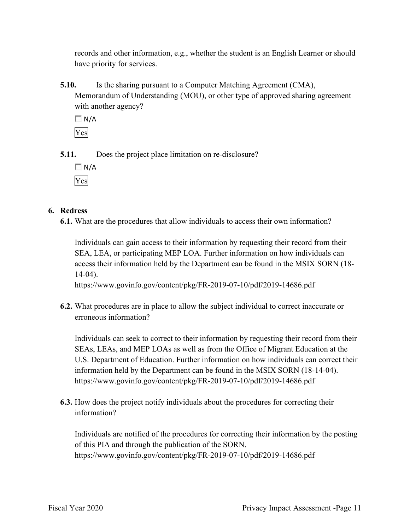records and other information, e.g., whether the student is an English Learner or should have priority for services.

**5.10.** Is the sharing pursuant to a Computer Matching Agreement (CMA), Memorandum of Understanding (MOU), or other type of approved sharing agreement with another agency?

 $\Box$  N/A Yes

**5.11.** Does the project place limitation on re-disclosure?

 $\Box$  N/A Yes

### **6. Redress**

**6.1.** What are the procedures that allow individuals to access their own information?

Individuals can gain access to their information by requesting their record from their SEA, LEA, or participating MEP LOA. Further information on how individuals can access their information held by the Department can be found in the MSIX SORN (18- 14-04).

<https://www.govinfo.gov/content/pkg/FR-2019-07-10/pdf/2019-14686.pdf>

**6.2.** What procedures are in place to allow the subject individual to correct inaccurate or erroneous information?

Individuals can seek to correct to their information by requesting their record from their SEAs, LEAs, and MEP LOAs as well as from the Office of Migrant Education at the U.S. Department of Education. Further information on how individuals can correct their information held by the Department can be found in the MSIX SORN (18-14-04). <https://www.govinfo.gov/content/pkg/FR-2019-07-10/pdf/2019-14686.pdf>

**6.3.** How does the project notify individuals about the procedures for correcting their information?

Individuals are notified of the procedures for correcting their information by the posting of this PIA and through the publication of the SORN. <https://www.govinfo.gov/content/pkg/FR-2019-07-10/pdf/2019-14686.pdf>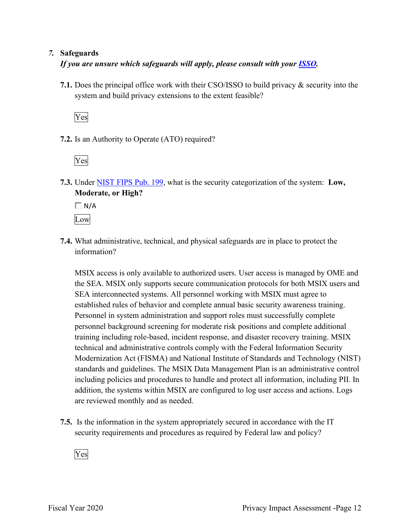### *7.* **Safeguards**

 *If you are unsure which safeguards will apply, please consult with your ISSO.* 

 system and build privacy extensions to the extent feasible? **7.1.** Does the principal office work with their CSO/ISSO to build privacy & security into the

Yes

**7.2.** Is an Authority to Operate (ATO) required?

Yes

**7.3.** Under NIST FIPS Pub. 199, what is the security categorization of the system: **Low, Moderate, or High?** 

 $\Box N/A$ Low

**7.4.** What administrative, technical, and physical safeguards are in place to protect the information?

 SEA interconnected systems. All personnel working with MSIX must agree to personnel background screening for moderate risk positions and complete additional MSIX access is only available to authorized users. User access is managed by OME and the SEA. MSIX only supports secure communication protocols for both MSIX users and established rules of behavior and complete annual basic security awareness training. Personnel in system administration and support roles must successfully complete training including role-based, incident response, and disaster recovery training. MSIX technical and administrative controls comply with the Federal Information Security Modernization Act (FISMA) and National Institute of Standards and Technology (NIST) standards and guidelines. The MSIX Data Management Plan is an administrative control including policies and procedures to handle and protect all information, including PII. In addition, the systems within MSIX are configured to log user access and actions. Logs are reviewed monthly and as needed.

 **7.5.** Is the information in the system appropriately secured in accordance with the IT security requirements and procedures as required by Federal law and policy?

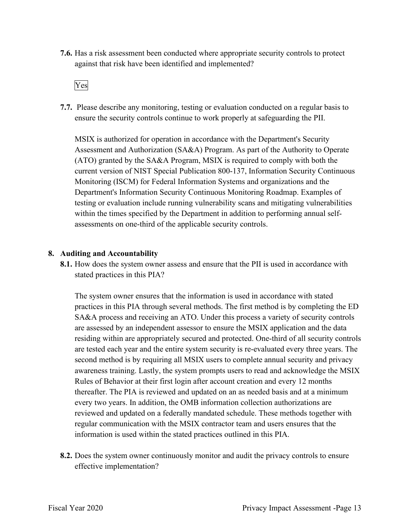**7.6.** Has a risk assessment been conducted where appropriate security controls to protect against that risk have been identified and implemented?



 ensure the security controls continue to work properly at safeguarding the PII. **7.7.** Please describe any monitoring, testing or evaluation conducted on a regular basis to

 Assessment and Authorization (SA&A) Program. As part of the Authority to Operate Monitoring (ISCM) for Federal Information Systems and organizations and the MSIX is authorized for operation in accordance with the Department's Security (ATO) granted by the SA&A Program, MSIX is required to comply with both the current version of NIST Special Publication 800-137, Information Security Continuous Department's Information Security Continuous Monitoring Roadmap. Examples of testing or evaluation include running vulnerability scans and mitigating vulnerabilities within the times specified by the Department in addition to performing annual selfassessments on one-third of the applicable security controls.

### **8. Auditing and Accountability**

 **8.1.** How does the system owner assess and ensure that the PII is used in accordance with stated practices in this PIA?

 The system owner ensures that the information is used in accordance with stated thereafter. The PIA is reviewed and updated on an as needed basis and at a minimum practices in this PIA through several methods. The first method is by completing the ED SA&A process and receiving an ATO. Under this process a variety of security controls are assessed by an independent assessor to ensure the MSIX application and the data residing within are appropriately secured and protected. One-third of all security controls are tested each year and the entire system security is re-evaluated every three years. The second method is by requiring all MSIX users to complete annual security and privacy awareness training. Lastly, the system prompts users to read and acknowledge the MSIX Rules of Behavior at their first login after account creation and every 12 months every two years. In addition, the OMB information collection authorizations are reviewed and updated on a federally mandated schedule. These methods together with regular communication with the MSIX contractor team and users ensures that the information is used within the stated practices outlined in this PIA.

 **8.2.** Does the system owner continuously monitor and audit the privacy controls to ensure effective implementation?